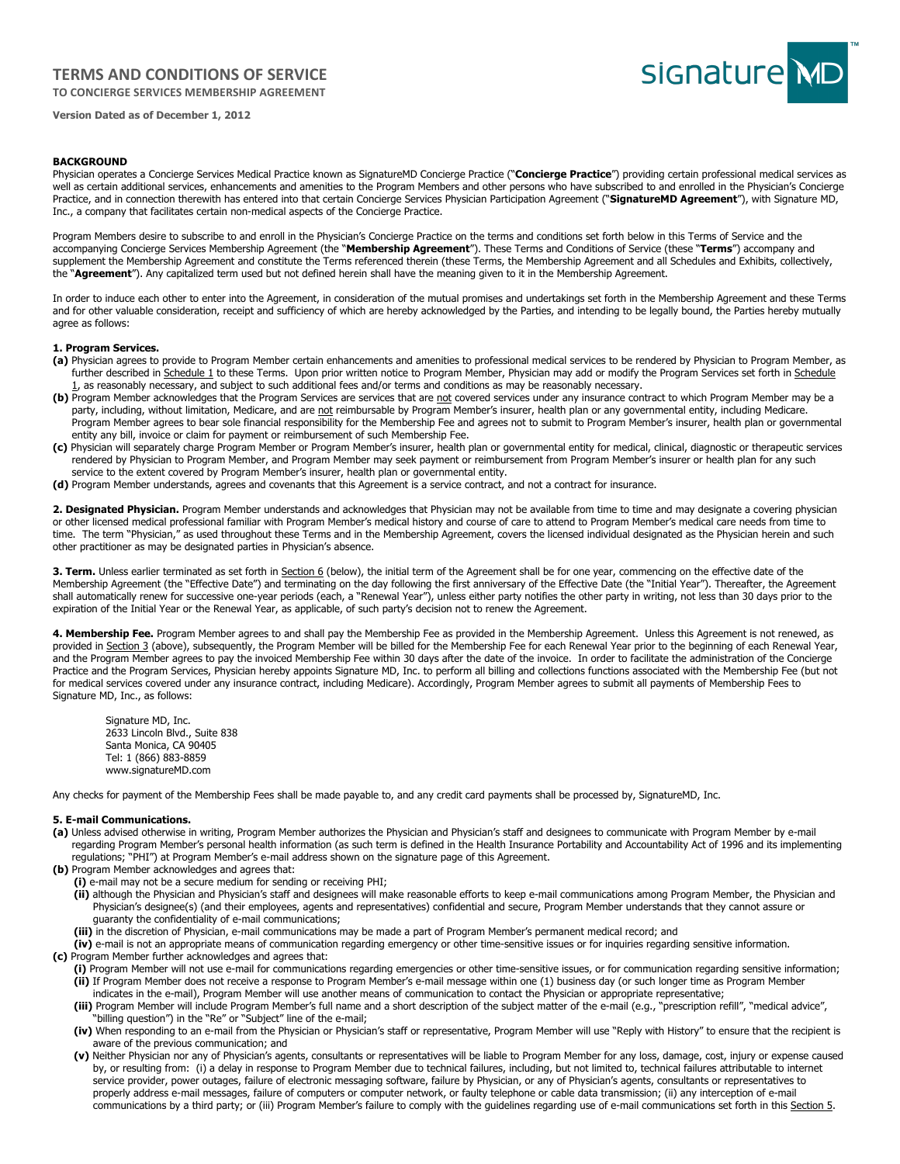# **TERMS AND CONDITIONS OF SERVICE**

**TO CONCIERGE SERVICES MEMBERSHIP AGREEMENT** 



**Version Dated as of December 1, 2012**

# **BACKGROUND**

Physician operates a Concierge Services Medical Practice known as SignatureMD Concierge Practice ("**Concierge Practice**") providing certain professional medical services as well as certain additional services, enhancements and amenities to the Program Members and other persons who have subscribed to and enrolled in the Physician's Concierge Practice, and in connection therewith has entered into that certain Concierge Services Physician Participation Agreement ("**SignatureMD Agreement**"), with Signature MD, Inc., a company that facilitates certain non-medical aspects of the Concierge Practice.

Program Members desire to subscribe to and enroll in the Physician's Concierge Practice on the terms and conditions set forth below in this Terms of Service and the accompanying Concierge Services Membership Agreement (the "**Membership Agreement**"). These Terms and Conditions of Service (these "**Terms**") accompany and supplement the Membership Agreement and constitute the Terms referenced therein (these Terms, the Membership Agreement and all Schedules and Exhibits, collectively, the "**Agreement**"). Any capitalized term used but not defined herein shall have the meaning given to it in the Membership Agreement.

In order to induce each other to enter into the Agreement, in consideration of the mutual promises and undertakings set forth in the Membership Agreement and these Terms and for other valuable consideration, receipt and sufficiency of which are hereby acknowledged by the Parties, and intending to be legally bound, the Parties hereby mutually agree as follows:

# **1. Program Services.**

- **(a)** Physician agrees to provide to Program Member certain enhancements and amenities to professional medical services to be rendered by Physician to Program Member, as further described in Schedule 1 to these Terms. Upon prior written notice to Program Member, Physician may add or modify the Program Services set forth in Schedule 1, as reasonably necessary, and subject to such additional fees and/or terms and conditions as may be reasonably necessary.
- (b) Program Member acknowledges that the Program Services are services that are not covered services under any insurance contract to which Program Member may be a party, including, without limitation, Medicare, and are not reimbursable by Program Member's insurer, health plan or any governmental entity, including Medicare. Program Member agrees to bear sole financial responsibility for the Membership Fee and agrees not to submit to Program Member's insurer, health plan or governmental entity any bill, invoice or claim for payment or reimbursement of such Membership Fee.
- **(c)** Physician will separately charge Program Member or Program Member's insurer, health plan or governmental entity for medical, clinical, diagnostic or therapeutic services rendered by Physician to Program Member, and Program Member may seek payment or reimbursement from Program Member's insurer or health plan for any such service to the extent covered by Program Member's insurer, health plan or governmental entity.
- **(d)** Program Member understands, agrees and covenants that this Agreement is a service contract, and not a contract for insurance.

2. Designated Physician. Program Member understands and acknowledges that Physician may not be available from time to time and may designate a covering physician or other licensed medical professional familiar with Program Member's medical history and course of care to attend to Program Member's medical care needs from time to time. The term "Physician," as used throughout these Terms and in the Membership Agreement, covers the licensed individual designated as the Physician herein and such other practitioner as may be designated parties in Physician's absence.

3. Term. Unless earlier terminated as set forth in Section 6 (below), the initial term of the Agreement shall be for one year, commencing on the effective date of the Membership Agreement (the "Effective Date") and terminating on the day following the first anniversary of the Effective Date (the "Initial Year"). Thereafter, the Agreement shall automatically renew for successive one-year periods (each, a "Renewal Year"), unless either party notifies the other party in writing, not less than 30 days prior to the expiration of the Initial Year or the Renewal Year, as applicable, of such party's decision not to renew the Agreement.

4. Membership Fee. Program Member agrees to and shall pay the Membership Fee as provided in the Membership Agreement. Unless this Agreement is not renewed, as provided in Section 3 (above), subsequently, the Program Member will be billed for the Membership Fee for each Renewal Year prior to the beginning of each Renewal Year, and the Program Member agrees to pay the invoiced Membership Fee within 30 days after the date of the invoice. In order to facilitate the administration of the Concierge Practice and the Program Services, Physician hereby appoints Signature MD, Inc. to perform all billing and collections functions associated with the Membership Fee (but not for medical services covered under any insurance contract, including Medicare). Accordingly, Program Member agrees to submit all payments of Membership Fees to Signature MD, Inc., as follows:

Signature MD, Inc. 2633 Lincoln Blvd., Suite 838 Santa Monica, CA 90405 Tel: 1 (866) 883-8859 www.signatureMD.com

Any checks for payment of the Membership Fees shall be made payable to, and any credit card payments shall be processed by, SignatureMD, Inc.

### **5. E-mail Communications.**

- **(a)** Unless advised otherwise in writing, Program Member authorizes the Physician and Physician's staff and designees to communicate with Program Member by e-mail regarding Program Member's personal health information (as such term is defined in the Health Insurance Portability and Accountability Act of 1996 and its implementing regulations; "PHI") at Program Member's e-mail address shown on the signature page of this Agreement.
- **(b)** Program Member acknowledges and agrees that:
	- **(i)** e-mail may not be a secure medium for sending or receiving PHI;
	- **(ii)** although the Physician and Physician's staff and designees will make reasonable efforts to keep e-mail communications among Program Member, the Physician and Physician's designee(s) (and their employees, agents and representatives) confidential and secure, Program Member understands that they cannot assure or guaranty the confidentiality of e-mail communications;
	- **(iii)** in the discretion of Physician, e-mail communications may be made a part of Program Member's permanent medical record; and
- **(iv)** e-mail is not an appropriate means of communication regarding emergency or other time-sensitive issues or for inquiries regarding sensitive information. **(c)** Program Member further acknowledges and agrees that:
	- **(i)** Program Member will not use e-mail for communications regarding emergencies or other time-sensitive issues, or for communication regarding sensitive information; **(ii)** If Program Member does not receive a response to Program Member's e-mail message within one (1) business day (or such longer time as Program Member
	- indicates in the e-mail), Program Member will use another means of communication to contact the Physician or appropriate representative;
	- **(iii)** Program Member will include Program Member's full name and a short description of the subject matter of the e-mail (e.g., "prescription refill", "medical advice", "billing question") in the "Re" or "Subject" line of the e-mail;
	- **(iv)** When responding to an e-mail from the Physician or Physician's staff or representative, Program Member will use "Reply with History" to ensure that the recipient is aware of the previous communication; and
	- **(v)** Neither Physician nor any of Physician's agents, consultants or representatives will be liable to Program Member for any loss, damage, cost, injury or expense caused by, or resulting from: (i) a delay in response to Program Member due to technical failures, including, but not limited to, technical failures attributable to internet service provider, power outages, failure of electronic messaging software, failure by Physician, or any of Physician's agents, consultants or representatives to properly address e-mail messages, failure of computers or computer network, or faulty telephone or cable data transmission; (ii) any interception of e-mail communications by a third party; or (iii) Program Member's failure to comply with the guidelines regarding use of e-mail communications set forth in this Section 5.